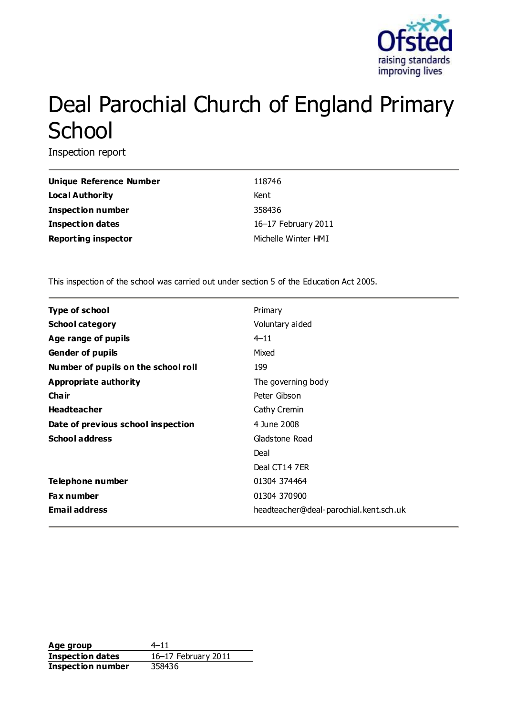

# Deal Parochial Church of England Primary **School**

Inspection report

| Unique Reference Number    | 118746              |
|----------------------------|---------------------|
| Local Authority            | Kent                |
| <b>Inspection number</b>   | 358436              |
| <b>Inspection dates</b>    | 16-17 February 2011 |
| <b>Reporting inspector</b> | Michelle Winter HMI |

This inspection of the school was carried out under section 5 of the Education Act 2005.

| <b>Type of school</b>               | Primary                                |
|-------------------------------------|----------------------------------------|
| <b>School category</b>              | Voluntary aided                        |
| Age range of pupils                 | $4 - 11$                               |
| <b>Gender of pupils</b>             | Mixed                                  |
| Number of pupils on the school roll | 199                                    |
| Appropriate authority               | The governing body                     |
| Cha ir                              | Peter Gibson                           |
| <b>Headteacher</b>                  | Cathy Cremin                           |
| Date of previous school inspection  | 4 June 2008                            |
| <b>School address</b>               | Gladstone Road                         |
|                                     | Deal                                   |
|                                     | Deal CT14 7ER                          |
| Telephone number                    | 01304 374464                           |
| <b>Fax number</b>                   | 01304 370900                           |
| <b>Email address</b>                | headteacher@deal-parochial.kent.sch.uk |

Age group  $4-11$ **Inspection dates** 16–17 February 2011 **Inspection number** 358436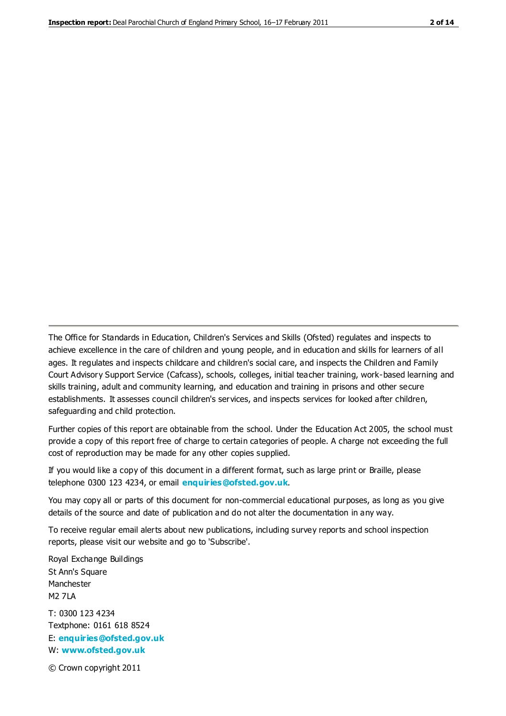The Office for Standards in Education, Children's Services and Skills (Ofsted) regulates and inspects to achieve excellence in the care of children and young people, and in education and skills for learners of all ages. It regulates and inspects childcare and children's social care, and inspects the Children and Family Court Advisory Support Service (Cafcass), schools, colleges, initial teacher training, work-based learning and skills training, adult and community learning, and education and training in prisons and other secure establishments. It assesses council children's services, and inspects services for looked after children, safeguarding and child protection.

Further copies of this report are obtainable from the school. Under the Education Act 2005, the school must provide a copy of this report free of charge to certain categories of people. A charge not exceeding the full cost of reproduction may be made for any other copies supplied.

If you would like a copy of this document in a different format, such as large print or Braille, please telephone 0300 123 4234, or email **[enquiries@ofsted.gov.uk](mailto:enquiries@ofsted.gov.uk)**.

You may copy all or parts of this document for non-commercial educational purposes, as long as you give details of the source and date of publication and do not alter the documentation in any way.

To receive regular email alerts about new publications, including survey reports and school inspection reports, please visit our website and go to 'Subscribe'.

Royal Exchange Buildings St Ann's Square Manchester M2 7LA T: 0300 123 4234 Textphone: 0161 618 8524 E: **[enquiries@ofsted.gov.uk](mailto:enquiries@ofsted.gov.uk)**

W: **[www.ofsted.gov.uk](http://www.ofsted.gov.uk/)**

© Crown copyright 2011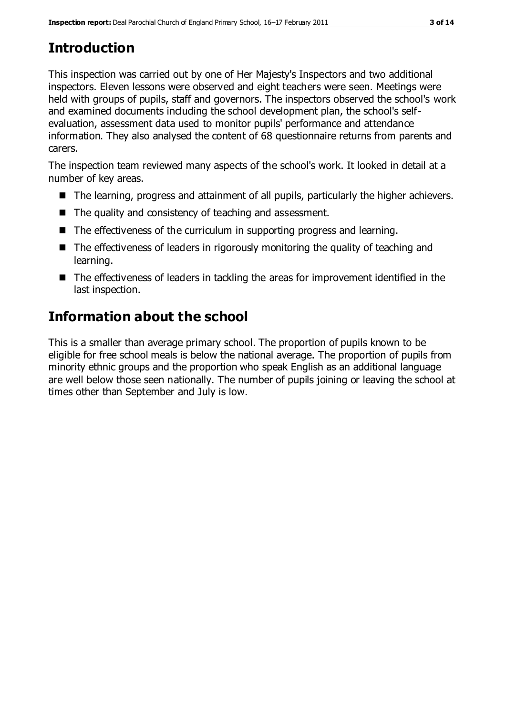# **Introduction**

This inspection was carried out by one of Her Majesty's Inspectors and two additional inspectors. Eleven lessons were observed and eight teachers were seen. Meetings were held with groups of pupils, staff and governors. The inspectors observed the school's work and examined documents including the school development plan, the school's selfevaluation, assessment data used to monitor pupils' performance and attendance information. They also analysed the content of 68 questionnaire returns from parents and carers.

The inspection team reviewed many aspects of the school's work. It looked in detail at a number of key areas.

- The learning, progress and attainment of all pupils, particularly the higher achievers.
- The quality and consistency of teaching and assessment.
- The effectiveness of the curriculum in supporting progress and learning.
- The effectiveness of leaders in rigorously monitoring the quality of teaching and learning.
- The effectiveness of leaders in tackling the areas for improvement identified in the last inspection.

# **Information about the school**

This is a smaller than average primary school. The proportion of pupils known to be eligible for free school meals is below the national average. The proportion of pupils from minority ethnic groups and the proportion who speak English as an additional language are well below those seen nationally. The number of pupils joining or leaving the school at times other than September and July is low.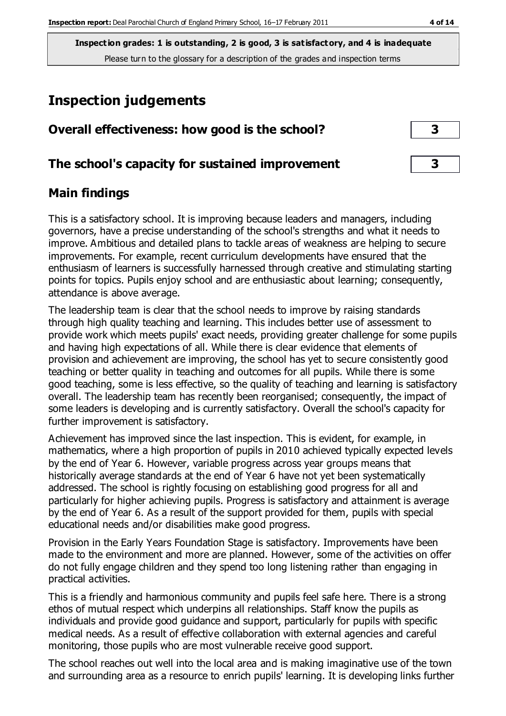**Inspection grades: 1 is outstanding, 2 is good, 3 is satisfactory, and 4 is inadequate** Please turn to the glossary for a description of the grades and inspection terms

## **Inspection judgements**

| Overall effectiveness: how good is the school?  |  |
|-------------------------------------------------|--|
| The school's capacity for sustained improvement |  |

#### **Main findings**

This is a satisfactory school. It is improving because leaders and managers, including governors, have a precise understanding of the school's strengths and what it needs to improve. Ambitious and detailed plans to tackle areas of weakness are helping to secure improvements. For example, recent curriculum developments have ensured that the enthusiasm of learners is successfully harnessed through creative and stimulating starting points for topics. Pupils enjoy school and are enthusiastic about learning; consequently, attendance is above average.

The leadership team is clear that the school needs to improve by raising standards through high quality teaching and learning. This includes better use of assessment to provide work which meets pupils' exact needs, providing greater challenge for some pupils and having high expectations of all. While there is clear evidence that elements of provision and achievement are improving, the school has yet to secure consistently good teaching or better quality in teaching and outcomes for all pupils. While there is some good teaching, some is less effective, so the quality of teaching and learning is satisfactory overall. The leadership team has recently been reorganised; consequently, the impact of some leaders is developing and is currently satisfactory. Overall the school's capacity for further improvement is satisfactory.

Achievement has improved since the last inspection. This is evident, for example, in mathematics, where a high proportion of pupils in 2010 achieved typically expected levels by the end of Year 6. However, variable progress across year groups means that historically average standards at the end of Year 6 have not yet been systematically addressed. The school is rightly focusing on establishing good progress for all and particularly for higher achieving pupils. Progress is satisfactory and attainment is average by the end of Year 6. As a result of the support provided for them, pupils with special educational needs and/or disabilities make good progress.

Provision in the Early Years Foundation Stage is satisfactory. Improvements have been made to the environment and more are planned. However, some of the activities on offer do not fully engage children and they spend too long listening rather than engaging in practical activities.

This is a friendly and harmonious community and pupils feel safe here. There is a strong ethos of mutual respect which underpins all relationships. Staff know the pupils as individuals and provide good guidance and support, particularly for pupils with specific medical needs. As a result of effective collaboration with external agencies and careful monitoring, those pupils who are most vulnerable receive good support.

The school reaches out well into the local area and is making imaginative use of the town and surrounding area as a resource to enrich pupils' learning. It is developing links further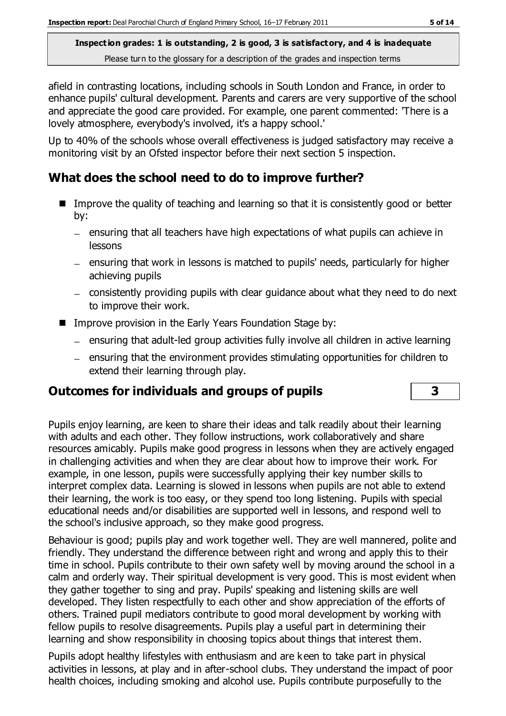**Inspection grades: 1 is outstanding, 2 is good, 3 is satisfactory, and 4 is inadequate** Please turn to the glossary for a description of the grades and inspection terms

afield in contrasting locations, including schools in South London and France, in order to enhance pupils' cultural development. Parents and carers are very supportive of the school and appreciate the good care provided. For example, one parent commented: 'There is a lovely atmosphere, everybody's involved, it's a happy school.'

Up to 40% of the schools whose overall effectiveness is judged satisfactory may receive a monitoring visit by an Ofsted inspector before their next section 5 inspection.

#### **What does the school need to do to improve further?**

- Improve the quality of teaching and learning so that it is consistently good or better by:
	- $-$  ensuring that all teachers have high expectations of what pupils can achieve in lessons
	- ensuring that work in lessons is matched to pupils' needs, particularly for higher achieving pupils
	- consistently providing pupils with clear guidance about what they need to do next to improve their work.
- **IMPROVE PROVISION IN the Early Years Foundation Stage by:** 
	- $-$  ensuring that adult-led group activities fully involve all children in active learning
	- ensuring that the environment provides stimulating opportunities for children to extend their learning through play.

## **Outcomes for individuals and groups of pupils 3**

Pupils enjoy learning, are keen to share their ideas and talk readily about their learning with adults and each other. They follow instructions, work collaboratively and share resources amicably. Pupils make good progress in lessons when they are actively engaged in challenging activities and when they are clear about how to improve their work. For example, in one lesson, pupils were successfully applying their key number skills to interpret complex data. Learning is slowed in lessons when pupils are not able to extend their learning, the work is too easy, or they spend too long listening. Pupils with special educational needs and/or disabilities are supported well in lessons, and respond well to the school's inclusive approach, so they make good progress.

Behaviour is good; pupils play and work together well. They are well mannered, polite and friendly. They understand the difference between right and wrong and apply this to their time in school. Pupils contribute to their own safety well by moving around the school in a calm and orderly way. Their spiritual development is very good. This is most evident when they gather together to sing and pray. Pupils' speaking and listening skills are well developed. They listen respectfully to each other and show appreciation of the efforts of others. Trained pupil mediators contribute to good moral development by working with fellow pupils to resolve disagreements. Pupils play a useful part in determining their learning and show responsibility in choosing topics about things that interest them.

Pupils adopt healthy lifestyles with enthusiasm and are keen to take part in physical activities in lessons, at play and in after-school clubs. They understand the impact of poor health choices, including smoking and alcohol use. Pupils contribute purposefully to the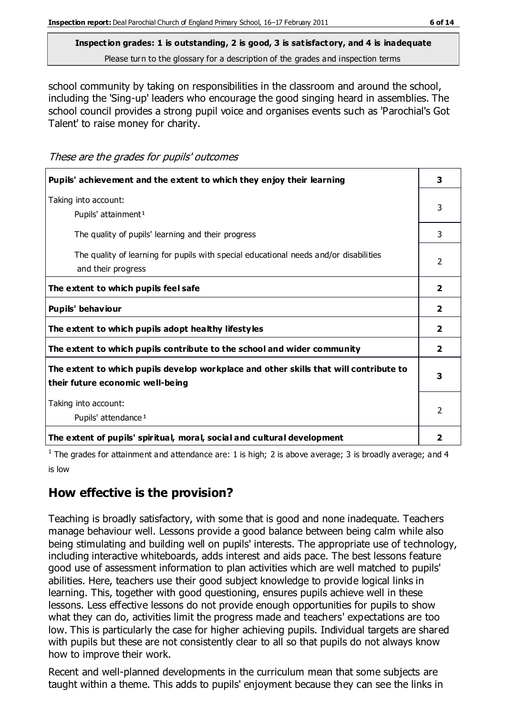# **Inspection grades: 1 is outstanding, 2 is good, 3 is satisfactory, and 4 is inadequate**

Please turn to the glossary for a description of the grades and inspection terms

school community by taking on responsibilities in the classroom and around the school, including the 'Sing-up' leaders who encourage the good singing heard in assemblies. The school council provides a strong pupil voice and organises events such as 'Parochial's Got Talent' to raise money for charity.

These are the grades for pupils' outcomes

| Pupils' achievement and the extent to which they enjoy their learning                                                     | 3                       |
|---------------------------------------------------------------------------------------------------------------------------|-------------------------|
| Taking into account:<br>Pupils' attainment <sup>1</sup>                                                                   | 3                       |
| The quality of pupils' learning and their progress                                                                        | 3                       |
| The quality of learning for pupils with special educational needs and/or disabilities<br>and their progress               | $\mathcal{L}$           |
| The extent to which pupils feel safe                                                                                      | $\overline{2}$          |
| Pupils' behaviour                                                                                                         | 2                       |
| The extent to which pupils adopt healthy lifestyles                                                                       | $\overline{2}$          |
| The extent to which pupils contribute to the school and wider community                                                   | $\overline{2}$          |
| The extent to which pupils develop workplace and other skills that will contribute to<br>their future economic well-being | 3                       |
| Taking into account:<br>Pupils' attendance <sup>1</sup>                                                                   | 2                       |
| The extent of pupils' spiritual, moral, social and cultural development                                                   | $\overline{\mathbf{2}}$ |

<sup>1</sup> The grades for attainment and attendance are: 1 is high; 2 is above average; 3 is broadly average; and 4 is low

## **How effective is the provision?**

Teaching is broadly satisfactory, with some that is good and none inadequate. Teachers manage behaviour well. Lessons provide a good balance between being calm while also being stimulating and building well on pupils' interests. The appropriate use of technology, including interactive whiteboards, adds interest and aids pace. The best lessons feature good use of assessment information to plan activities which are well matched to pupils' abilities. Here, teachers use their good subject knowledge to provide logical links in learning. This, together with good questioning, ensures pupils achieve well in these lessons. Less effective lessons do not provide enough opportunities for pupils to show what they can do, activities limit the progress made and teachers' expectations are too low. This is particularly the case for higher achieving pupils. Individual targets are shared with pupils but these are not consistently clear to all so that pupils do not always know how to improve their work.

Recent and well-planned developments in the curriculum mean that some subjects are taught within a theme. This adds to pupils' enjoyment because they can see the links in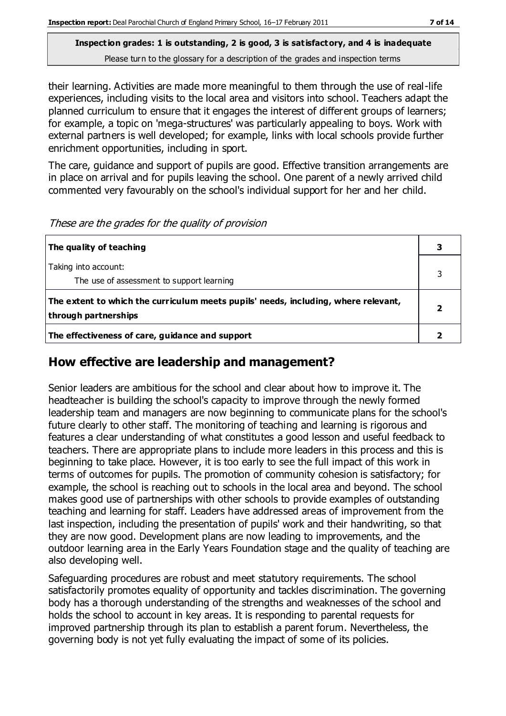#### **Inspection grades: 1 is outstanding, 2 is good, 3 is satisfactory, and 4 is inadequate** Please turn to the glossary for a description of the grades and inspection terms

their learning. Activities are made more meaningful to them through the use of real-life experiences, including visits to the local area and visitors into school. Teachers adapt the planned curriculum to ensure that it engages the interest of different groups of learners; for example, a topic on 'mega-structures' was particularly appealing to boys. Work with external partners is well developed; for example, links with local schools provide further enrichment opportunities, including in sport.

The care, guidance and support of pupils are good. Effective transition arrangements are in place on arrival and for pupils leaving the school. One parent of a newly arrived child commented very favourably on the school's individual support for her and her child.

| The quality of teaching                                                                                    |  |
|------------------------------------------------------------------------------------------------------------|--|
| Taking into account:<br>The use of assessment to support learning                                          |  |
| The extent to which the curriculum meets pupils' needs, including, where relevant,<br>through partnerships |  |
| The effectiveness of care, guidance and support                                                            |  |

## **How effective are leadership and management?**

Senior leaders are ambitious for the school and clear about how to improve it. The headteacher is building the school's capacity to improve through the newly formed leadership team and managers are now beginning to communicate plans for the school's future clearly to other staff. The monitoring of teaching and learning is rigorous and features a clear understanding of what constitutes a good lesson and useful feedback to teachers. There are appropriate plans to include more leaders in this process and this is beginning to take place. However, it is too early to see the full impact of this work in terms of outcomes for pupils. The promotion of community cohesion is satisfactory; for example, the school is reaching out to schools in the local area and beyond. The school makes good use of partnerships with other schools to provide examples of outstanding teaching and learning for staff. Leaders have addressed areas of improvement from the last inspection, including the presentation of pupils' work and their handwriting, so that they are now good. Development plans are now leading to improvements, and the outdoor learning area in the Early Years Foundation stage and the quality of teaching are also developing well.

Safeguarding procedures are robust and meet statutory requirements. The school satisfactorily promotes equality of opportunity and tackles discrimination. The governing body has a thorough understanding of the strengths and weaknesses of the school and holds the school to account in key areas. It is responding to parental requests for improved partnership through its plan to establish a parent forum. Nevertheless, the governing body is not yet fully evaluating the impact of some of its policies.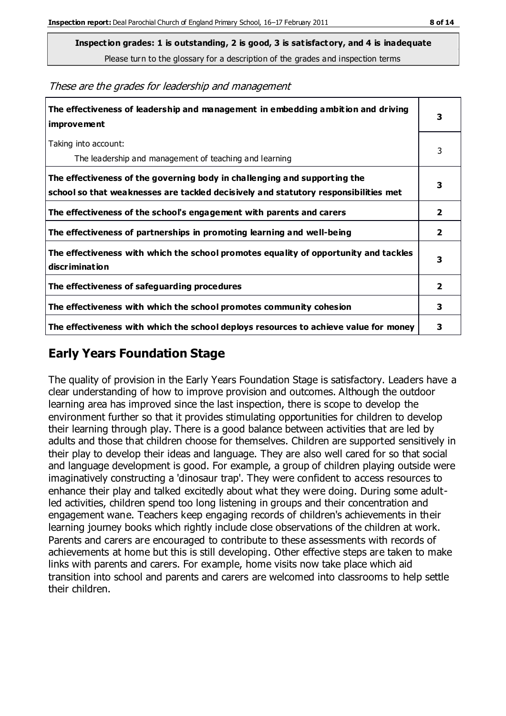Please turn to the glossary for a description of the grades and inspection terms

These are the grades for leadership and management

| The effectiveness of leadership and management in embedding ambition and driving<br>improvement                                                                  | 3                       |
|------------------------------------------------------------------------------------------------------------------------------------------------------------------|-------------------------|
| Taking into account:<br>The leadership and management of teaching and learning                                                                                   | 3                       |
| The effectiveness of the governing body in challenging and supporting the<br>school so that weaknesses are tackled decisively and statutory responsibilities met | 3                       |
| The effectiveness of the school's engagement with parents and carers                                                                                             | 2                       |
| The effectiveness of partnerships in promoting learning and well-being                                                                                           | $\mathbf{2}$            |
| The effectiveness with which the school promotes equality of opportunity and tackles<br>discrimination                                                           | 3                       |
| The effectiveness of safeguarding procedures                                                                                                                     | $\overline{\mathbf{2}}$ |
| The effectiveness with which the school promotes community cohesion                                                                                              | 3                       |
| The effectiveness with which the school deploys resources to achieve value for money                                                                             | 3                       |

## **Early Years Foundation Stage**

The quality of provision in the Early Years Foundation Stage is satisfactory. Leaders have a clear understanding of how to improve provision and outcomes. Although the outdoor learning area has improved since the last inspection, there is scope to develop the environment further so that it provides stimulating opportunities for children to develop their learning through play. There is a good balance between activities that are led by adults and those that children choose for themselves. Children are supported sensitively in their play to develop their ideas and language. They are also well cared for so that social and language development is good. For example, a group of children playing outside were imaginatively constructing a 'dinosaur trap'. They were confident to access resources to enhance their play and talked excitedly about what they were doing. During some adultled activities, children spend too long listening in groups and their concentration and engagement wane. Teachers keep engaging records of children's achievements in their learning journey books which rightly include close observations of the children at work. Parents and carers are encouraged to contribute to these assessments with records of achievements at home but this is still developing. Other effective steps are taken to make links with parents and carers. For example, home visits now take place which aid transition into school and parents and carers are welcomed into classrooms to help settle their children.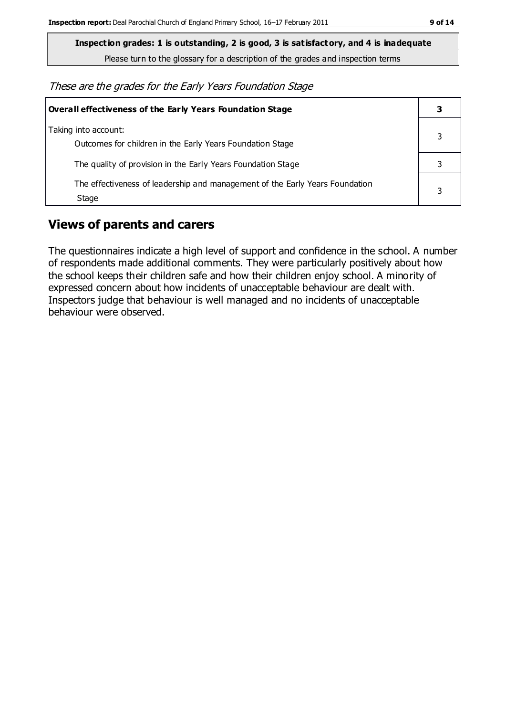**Inspection grades: 1 is outstanding, 2 is good, 3 is satisfactory, and 4 is inadequate**

Please turn to the glossary for a description of the grades and inspection terms

These are the grades for the Early Years Foundation Stage

| Overall effectiveness of the Early Years Foundation Stage                             |   |
|---------------------------------------------------------------------------------------|---|
| Taking into account:<br>Outcomes for children in the Early Years Foundation Stage     |   |
| The quality of provision in the Early Years Foundation Stage                          |   |
| The effectiveness of leadership and management of the Early Years Foundation<br>Stage | 3 |

## **Views of parents and carers**

The questionnaires indicate a high level of support and confidence in the school. A number of respondents made additional comments. They were particularly positively about how the school keeps their children safe and how their children enjoy school. A minority of expressed concern about how incidents of unacceptable behaviour are dealt with. Inspectors judge that behaviour is well managed and no incidents of unacceptable behaviour were observed.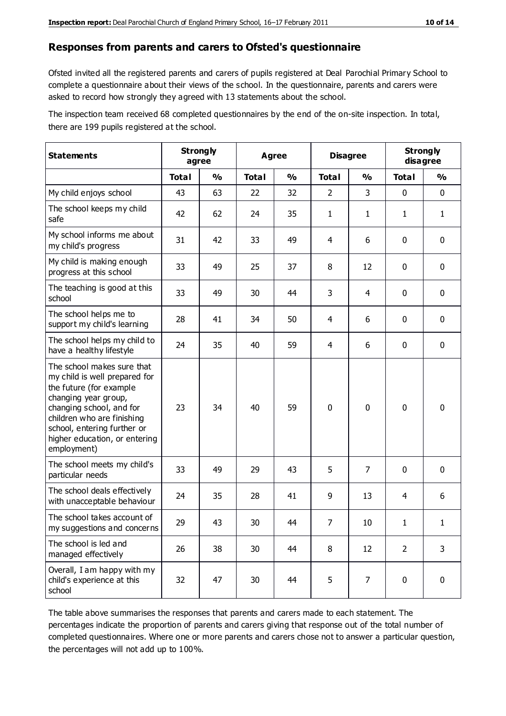#### **Responses from parents and carers to Ofsted's questionnaire**

Ofsted invited all the registered parents and carers of pupils registered at Deal Parochial Primary School to complete a questionnaire about their views of the school. In the questionnaire, parents and carers were asked to record how strongly they agreed with 13 statements about the school.

The inspection team received 68 completed questionnaires by the end of the on-site inspection. In total, there are 199 pupils registered at the school.

| <b>Statements</b>                                                                                                                                                                                                                                       | <b>Strongly</b><br>agree |               |              | <b>Agree</b>  |                | <b>Disagree</b> | <b>Strongly</b> | disagree      |
|---------------------------------------------------------------------------------------------------------------------------------------------------------------------------------------------------------------------------------------------------------|--------------------------|---------------|--------------|---------------|----------------|-----------------|-----------------|---------------|
|                                                                                                                                                                                                                                                         | <b>Total</b>             | $\frac{0}{0}$ | <b>Total</b> | $\frac{0}{0}$ | <b>Total</b>   | $\frac{0}{0}$   | <b>Total</b>    | $\frac{0}{0}$ |
| My child enjoys school                                                                                                                                                                                                                                  | 43                       | 63            | 22           | 32            | $\overline{2}$ | 3               | 0               | $\mathbf 0$   |
| The school keeps my child<br>safe                                                                                                                                                                                                                       | 42                       | 62            | 24           | 35            | $\mathbf{1}$   | 1               | $\mathbf{1}$    | $\mathbf{1}$  |
| My school informs me about<br>my child's progress                                                                                                                                                                                                       | 31                       | 42            | 33           | 49            | 4              | 6               | $\mathbf 0$     | $\mathbf 0$   |
| My child is making enough<br>progress at this school                                                                                                                                                                                                    | 33                       | 49            | 25           | 37            | 8              | 12              | $\mathbf 0$     | $\mathbf 0$   |
| The teaching is good at this<br>school                                                                                                                                                                                                                  | 33                       | 49            | 30           | 44            | 3              | 4               | 0               | 0             |
| The school helps me to<br>support my child's learning                                                                                                                                                                                                   | 28                       | 41            | 34           | 50            | 4              | 6               | 0               | $\mathbf 0$   |
| The school helps my child to<br>have a healthy lifestyle                                                                                                                                                                                                | 24                       | 35            | 40           | 59            | 4              | 6               | 0               | 0             |
| The school makes sure that<br>my child is well prepared for<br>the future (for example<br>changing year group,<br>changing school, and for<br>children who are finishing<br>school, entering further or<br>higher education, or entering<br>employment) | 23                       | 34            | 40           | 59            | $\mathbf 0$    | $\mathbf{0}$    | $\mathbf 0$     | $\mathbf 0$   |
| The school meets my child's<br>particular needs                                                                                                                                                                                                         | 33                       | 49            | 29           | 43            | 5              | $\overline{7}$  | $\mathbf 0$     | $\mathbf 0$   |
| The school deals effectively<br>with unacceptable behaviour                                                                                                                                                                                             | 24                       | 35            | 28           | 41            | 9              | 13              | 4               | 6             |
| The school takes account of<br>my suggestions and concerns                                                                                                                                                                                              | 29                       | 43            | 30           | 44            | $\overline{7}$ | $10\,$          | 1               | 1             |
| The school is led and<br>managed effectively                                                                                                                                                                                                            | 26                       | 38            | 30           | 44            | 8              | 12              | $\overline{2}$  | 3             |
| Overall, I am happy with my<br>child's experience at this<br>school                                                                                                                                                                                     | 32                       | 47            | 30           | 44            | 5              | 7               | $\mathbf 0$     | $\pmb{0}$     |

The table above summarises the responses that parents and carers made to each statement. The percentages indicate the proportion of parents and carers giving that response out of the total number of completed questionnaires. Where one or more parents and carers chose not to answer a particular question, the percentages will not add up to 100%.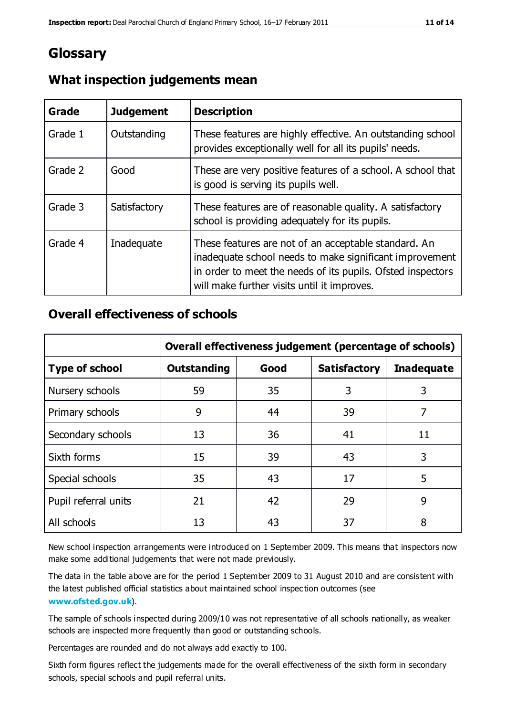## **Glossary**

| Grade   | <b>Judgement</b> | <b>Description</b>                                                                                                                                                                                                            |
|---------|------------------|-------------------------------------------------------------------------------------------------------------------------------------------------------------------------------------------------------------------------------|
| Grade 1 | Outstanding      | These features are highly effective. An outstanding school<br>provides exceptionally well for all its pupils' needs.                                                                                                          |
| Grade 2 | Good             | These are very positive features of a school. A school that<br>is good is serving its pupils well.                                                                                                                            |
| Grade 3 | Satisfactory     | These features are of reasonable quality. A satisfactory<br>school is providing adequately for its pupils.                                                                                                                    |
| Grade 4 | Inadequate       | These features are not of an acceptable standard. An<br>inadequate school needs to make significant improvement<br>in order to meet the needs of its pupils. Ofsted inspectors<br>will make further visits until it improves. |

#### **What inspection judgements mean**

#### **Overall effectiveness of schools**

|                       | Overall effectiveness judgement (percentage of schools) |      |                     |                   |
|-----------------------|---------------------------------------------------------|------|---------------------|-------------------|
| <b>Type of school</b> | <b>Outstanding</b>                                      | Good | <b>Satisfactory</b> | <b>Inadequate</b> |
| Nursery schools       | 59                                                      | 35   | 3                   | 3                 |
| Primary schools       | 9                                                       | 44   | 39                  | 7                 |
| Secondary schools     | 13                                                      | 36   | 41                  | 11                |
| Sixth forms           | 15                                                      | 39   | 43                  | 3                 |
| Special schools       | 35                                                      | 43   | 17                  | 5                 |
| Pupil referral units  | 21                                                      | 42   | 29                  | 9                 |
| All schools           | 13                                                      | 43   | 37                  | 8                 |

New school inspection arrangements were introduced on 1 September 2009. This means that inspectors now make some additional judgements that were not made previously.

The data in the table above are for the period 1 September 2009 to 31 August 2010 and are consistent with the latest published official statistics about maintained school inspec tion outcomes (see **[www.ofsted.gov.uk](http://www.ofsted.gov.uk/)**).

The sample of schools inspected during 2009/10 was not representative of all schools nationally, as weaker schools are inspected more frequently than good or outstanding schools.

Percentages are rounded and do not always add exactly to 100.

Sixth form figures reflect the judgements made for the overall effectiveness of the sixth form in secondary schools, special schools and pupil referral units.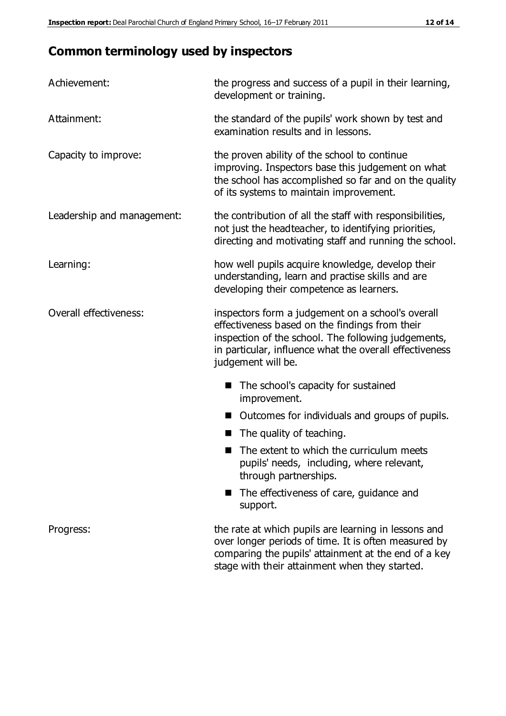## **Common terminology used by inspectors**

| Achievement:               | the progress and success of a pupil in their learning,<br>development or training.                                                                                                                                                          |
|----------------------------|---------------------------------------------------------------------------------------------------------------------------------------------------------------------------------------------------------------------------------------------|
| Attainment:                | the standard of the pupils' work shown by test and<br>examination results and in lessons.                                                                                                                                                   |
| Capacity to improve:       | the proven ability of the school to continue<br>improving. Inspectors base this judgement on what<br>the school has accomplished so far and on the quality<br>of its systems to maintain improvement.                                       |
| Leadership and management: | the contribution of all the staff with responsibilities,<br>not just the headteacher, to identifying priorities,<br>directing and motivating staff and running the school.                                                                  |
| Learning:                  | how well pupils acquire knowledge, develop their<br>understanding, learn and practise skills and are<br>developing their competence as learners.                                                                                            |
| Overall effectiveness:     | inspectors form a judgement on a school's overall<br>effectiveness based on the findings from their<br>inspection of the school. The following judgements,<br>in particular, influence what the overall effectiveness<br>judgement will be. |
|                            | The school's capacity for sustained<br>improvement.                                                                                                                                                                                         |
|                            | Outcomes for individuals and groups of pupils.                                                                                                                                                                                              |
|                            | The quality of teaching.                                                                                                                                                                                                                    |
|                            | The extent to which the curriculum meets<br>pupils' needs, including, where relevant,<br>through partnerships.                                                                                                                              |
|                            | The effectiveness of care, guidance and<br>support.                                                                                                                                                                                         |
| Progress:                  | the rate at which pupils are learning in lessons and<br>over longer periods of time. It is often measured by<br>comparing the pupils' attainment at the end of a key                                                                        |

stage with their attainment when they started.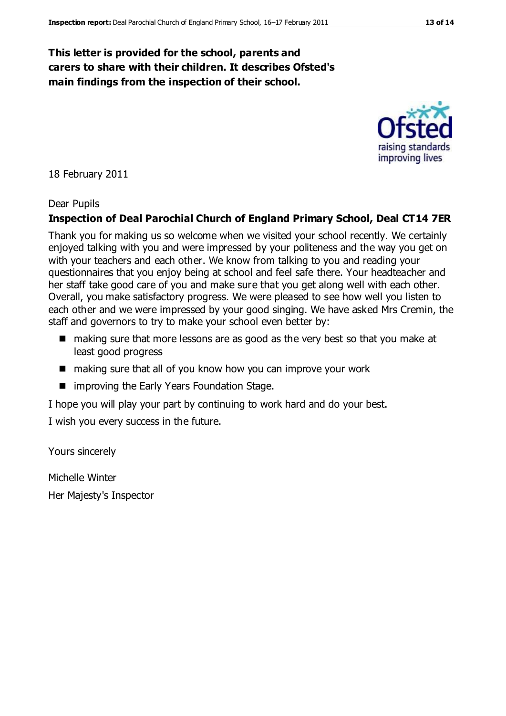#### **This letter is provided for the school, parents and carers to share with their children. It describes Ofsted's main findings from the inspection of their school.**

18 February 2011

#### Dear Pupils

#### **Inspection of Deal Parochial Church of England Primary School, Deal CT14 7ER**

Thank you for making us so welcome when we visited your school recently. We certainly enjoyed talking with you and were impressed by your politeness and the way you get on with your teachers and each other. We know from talking to you and reading your questionnaires that you enjoy being at school and feel safe there. Your headteacher and her staff take good care of you and make sure that you get along well with each other. Overall, you make satisfactory progress. We were pleased to see how well you listen to each other and we were impressed by your good singing. We have asked Mrs Cremin, the staff and governors to try to make your school even better by:

- making sure that more lessons are as good as the very best so that you make at least good progress
- making sure that all of you know how you can improve your work
- improving the Early Years Foundation Stage.

I hope you will play your part by continuing to work hard and do your best.

I wish you every success in the future.

Yours sincerely

Michelle Winter Her Majesty's Inspector